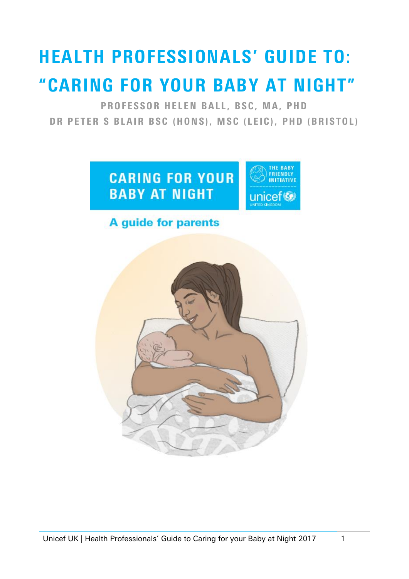# HEALTH PROFESSIONALS' GUIDE TO: "CARING FOR YOUR BABY AT NIGHT"

PROFESSOR HELEN BALL, BSC, MA, PHD DR PETER S BLAIR BSC (HONS), MSC (LEIC), PHD (BRISTOL)



# **A guide for parents**

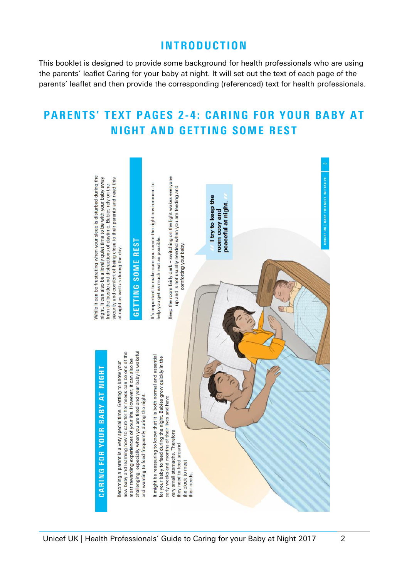## **INTRODUCTION**

This booklet is designed to provide some background for health professionals who are using the parents' leaflet Caring for your baby at night. It will set out the text of each page of the parents' leaflet and then provide the corresponding (referenced) text for health professionals.

# PARENTS' TEXT PAGES 2-4: CARING FOR YOUR BABY AT **NIGHT AND GETTING SOME REST**

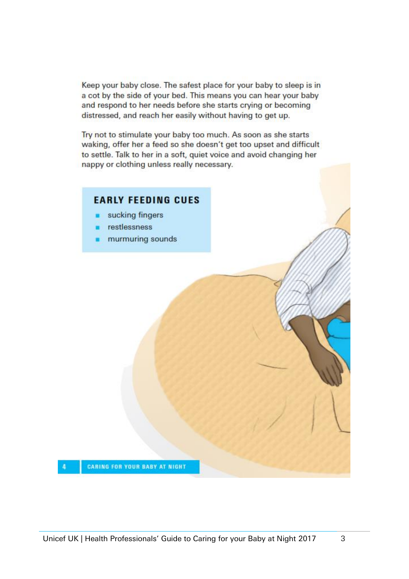Keep your baby close. The safest place for your baby to sleep is in a cot by the side of your bed. This means you can hear your baby and respond to her needs before she starts crying or becoming distressed, and reach her easily without having to get up.

Try not to stimulate your baby too much. As soon as she starts waking, offer her a feed so she doesn't get too upset and difficult to settle. Talk to her in a soft, quiet voice and avoid changing her nappy or clothing unless really necessary.

#### **EARLY FEEDING CUES**

- sucking fingers
- restlessness
- murmuring sounds

 $\overline{4}$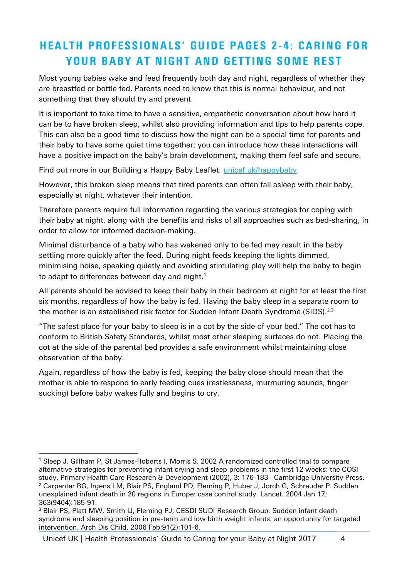# HEALTH PROFESSIONALS' GUIDE PAGES 2-4: CARING FOR YOUR BABY AT NIGHT AND GETTING SOME REST

Most young babies wake and feed frequently both day and night, regardless of whether they are breastfed or bottle fed. Parents need to know that this is normal behaviour, and not something that they should try and prevent.

It is important to take time to have a sensitive, empathetic conversation about how hard it can be to have broken sleep, whilst also providing information and tips to help parents cope. This can also be a good time to discuss how the night can be a special time for parents and their baby to have some quiet time together; you can introduce how these interactions will have a positive impact on the baby's brain development, making them feel safe and secure.

Find out more in our Building a Happy Baby Leaflet: [unicef.uk/happybaby.](https://www.unicef.org.uk/babyfriendly/baby-friendly-resources/leaflets-and-posters/building-a-happy-baby/?utm_source=shorturl&utm_medium=shorturl&utm_campaign=shorturl&utm_content=shorturl-happybaby)

However, this broken sleep means that tired parents can often fall asleep with their baby, especially at night, whatever their intention.

Therefore parents require full information regarding the various strategies for coping with their baby at night, along with the benefits and risks of all approaches such as bed-sharing, in order to allow for informed decision-making.

Minimal disturbance of a baby who has wakened only to be fed may result in the baby settling more quickly after the feed. During night feeds keeping the lights dimmed, minimising noise, speaking quietly and avoiding stimulating play will help the baby to begin to adapt to differences between day and night.<sup>1</sup>

All parents should be advised to keep their baby in their bedroom at night for at least the first six months, regardless of how the baby is fed. Having the baby sleep in a separate room to the mother is an established risk factor for Sudden Infant Death Syndrome (SIDS).<sup>2,3</sup>

"The safest place for your baby to sleep is in a cot by the side of your bed." The cot has to conform to British Safety Standards, whilst most other sleeping surfaces do not. Placing the cot at the side of the parental bed provides a safe environment whilst maintaining close observation of the baby.

Again, regardless of how the baby is fed, keeping the baby close should mean that the mother is able to respond to early feeding cues (restlessness, murmuring sounds, finger sucking) before baby wakes fully and begins to cry.

Unicef UK | Health Professionals' Guide to Caring for your Baby at Night 2017 4

<sup>-</sup><sup>1</sup> Sleep J, Gillham P, St James-Roberts I, Morris S. 2002 A randomized controlled trial to compare alternative strategies for preventing infant crying and sleep problems in the first 12 weeks: the COSI study. Primary Health Care Research & Development (2002), 3: 176-183 Cambridge University Press. <sup>2</sup> Carpenter RG, Irgens LM, Blair PS, England PD, Fleming P, Huber J, Jorch G, Schreuder P. Sudden unexplained infant death in 20 regions in Europe: case control study. Lancet. 2004 Jan 17; 363(9404):185-91.

<sup>3</sup> Blair PS, Platt MW, Smith IJ, Fleming PJ; CESDI SUDI Research Group. Sudden infant death syndrome and sleeping position in pre-term and low birth weight infants: an opportunity for targeted intervention. Arch Dis Child. 2006 Feb;91(2):101-6.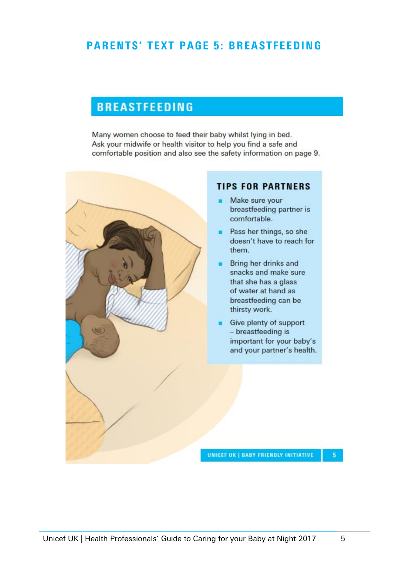## PARENTS' TEXT PAGE 5: BREASTFEEDING

## **BREASTFEEDING**

Many women choose to feed their baby whilst lying in bed. Ask your midwife or health visitor to help you find a safe and comfortable position and also see the safety information on page 9.



#### **TIPS FOR PARTNERS**

- Make sure your breastfeeding partner is comfortable.
- **Pass her things, so she** doesn't have to reach for them.
- Bring her drinks and snacks and make sure that she has a glass of water at hand as breastfeeding can be thirsty work.
- Give plenty of support - breastfeeding is important for your baby's and your partner's health.

UNICEF UK | BABY FRIENDLY INITIATIVE

 $5<sup>1</sup>$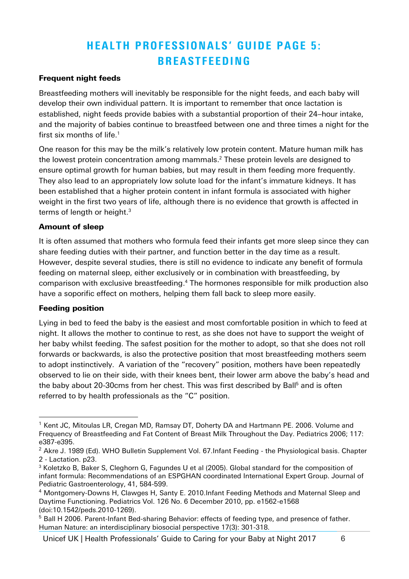# HEALTH PROFESSIONALS' GUIDE PAGE 5: **BREASTFEEDING**

#### Frequent night feeds

Breastfeeding mothers will inevitably be responsible for the night feeds, and each baby will develop their own individual pattern. It is important to remember that once lactation is established, night feeds provide babies with a substantial proportion of their 24–hour intake, and the majority of babies continue to breastfeed between one and three times a night for the first six months of life. 1

One reason for this may be the milk's relatively low protein content. Mature human milk has the lowest protein concentration among mammals. <sup>2</sup> These protein levels are designed to ensure optimal growth for human babies, but may result in them feeding more frequently. They also lead to an appropriately low solute load for the infant's immature kidneys. It has been established that a higher protein content in infant formula is associated with higher weight in the first two years of life, although there is no evidence that growth is affected in terms of length or height. $^3$ 

#### Amount of sleep

It is often assumed that mothers who formula feed their infants get more sleep since they can share feeding duties with their partner, and function better in the day time as a result. However, despite several studies, there is still no evidence to indicate any benefit of formula feeding on maternal sleep, either exclusively or in combination with breastfeeding, by comparison with exclusive breastfeeding. <sup>4</sup> The hormones responsible for milk production also have a soporific effect on mothers, helping them fall back to sleep more easily.

#### Feeding position

-

Lying in bed to feed the baby is the easiest and most comfortable position in which to feed at night. It allows the mother to continue to rest, as she does not have to support the weight of her baby whilst feeding. The safest position for the mother to adopt, so that she does not roll forwards or backwards, is also the protective position that most breastfeeding mothers seem to adopt instinctively. A variation of the "recovery" position, mothers have been repeatedly observed to lie on their side, with their knees bent, their lower arm above the baby's head and the baby about 20-30cms from her chest. This was first described by Ball<sup>5</sup> and is often referred to by health professionals as the "C" position.

 $1$  Kent JC, Mitoulas LR, Cregan MD, Ramsay DT, Doherty DA and Hartmann PE. 2006. Volume and Frequency of Breastfeeding and Fat Content of Breast Milk Throughout the Day. Pediatrics 2006; 117: e387-e395.

<sup>&</sup>lt;sup>2</sup> Akre J. 1989 (Ed). WHO Bulletin Supplement Vol. 67.Infant Feeding - the Physiological basis. Chapter 2 - Lactation. p23.

<sup>&</sup>lt;sup>3</sup> Koletzko B, Baker S, Cleghorn G, Fagundes U et al (2005). Global standard for the composition of infant formula: Recommendations of an ESPGHAN coordinated International Expert Group. Journal of Pediatric Gastroenterology, 41, 584-599.

<sup>4</sup> Montgomery-Downs H, Clawges H, Santy E. 2010.Infant Feeding Methods and Maternal Sleep and Daytime Functioning. Pediatrics Vol. 126 No. 6 December 2010, pp. e1562-e1568 (doi:10.1542/peds.2010-1269).

 $<sup>5</sup>$  Ball H 2006. Parent-Infant Bed-sharing Behavior: effects of feeding type, and presence of father.</sup> Human Nature: an interdisciplinary biosocial perspective 17(3): 301-318.

Unicef UK | Health Professionals' Guide to Caring for your Baby at Night 2017 6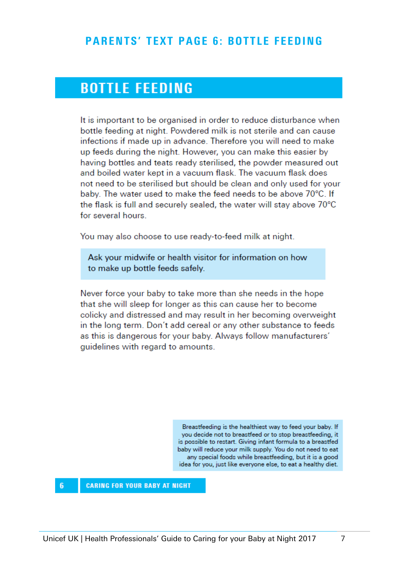### PARENTS' TEXT PAGE 6: BOTTLE FEEDING

# **BOTTLE FEEDING**

It is important to be organised in order to reduce disturbance when bottle feeding at night. Powdered milk is not sterile and can cause infections if made up in advance. Therefore you will need to make up feeds during the night. However, you can make this easier by having bottles and teats ready sterilised, the powder measured out and boiled water kept in a vacuum flask. The vacuum flask does not need to be sterilised but should be clean and only used for your baby. The water used to make the feed needs to be above 70°C. If the flask is full and securely sealed, the water will stay above 70°C for several hours.

You may also choose to use ready-to-feed milk at night.

Ask your midwife or health visitor for information on how to make up bottle feeds safely.

Never force your baby to take more than she needs in the hope that she will sleep for longer as this can cause her to become colicky and distressed and may result in her becoming overweight in the long term. Don't add cereal or any other substance to feeds as this is dangerous for your baby. Always follow manufacturers' guidelines with regard to amounts.

> Breastfeeding is the healthiest way to feed your baby. If you decide not to breastfeed or to stop breastfeeding, it is possible to restart. Giving infant formula to a breastfed baby will reduce your milk supply. You do not need to eat any special foods while breastfeeding, but it is a good idea for you, just like everyone else, to eat a healthy diet.

 $6\phantom{1}$ **CARING FOR YOUR BABY AT NIGHT**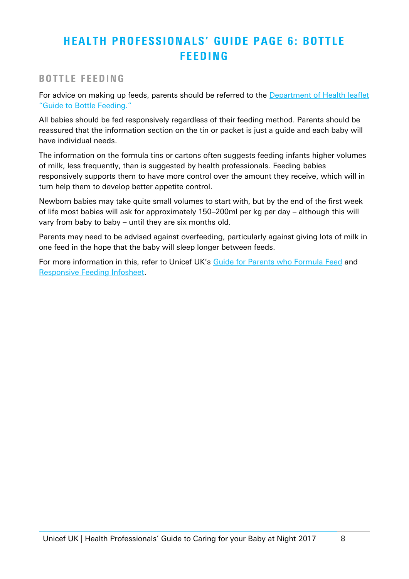# HEALTH PROFESSIONALS' GUIDE PAGE 6: BOTTLE **FEEDING**

#### BOTTLE FEEDING

For advice on making up feeds, parents should be referred to the **Department of Health leaflet** "Guide to [Bottle Feeding."](https://www.unicef.org.uk/babyfriendly/baby-friendly-resources/leaflets-and-posters/guide-to-bottle-feeding/)

All babies should be fed responsively regardless of their feeding method. Parents should be reassured that the information section on the tin or packet is just a guide and each baby will have individual needs.

The information on the formula tins or cartons often suggests feeding infants higher volumes of milk, less frequently, than is suggested by health professionals. Feeding babies responsively supports them to have more control over the amount they receive, which will in turn help them to develop better appetite control.

Newborn babies may take quite small volumes to start with, but by the end of the first week of life most babies will ask for approximately 150–200ml per kg per day – although this will vary from baby to baby – until they are six months old.

Parents may need to be advised against overfeeding, particularly against giving lots of milk in one feed in the hope that the baby will sleep longer between feeds.

For more information in this, refer to Unicef UK's [Guide for Parents who Formula Feed](https://www.unicef.org.uk/babyfriendly/baby-friendly-resources/leaflets-and-posters/simple-formula-guide-for-parents/) and [Responsive Feeding Infosheet.](https://www.unicef.org.uk/babyfriendly/baby-friendly-resources/guidance-for-health-professionals/implementing-the-baby-friendly-standards/further-guidance-on-implementing-the-standards/responsive-feeding-infosheet/)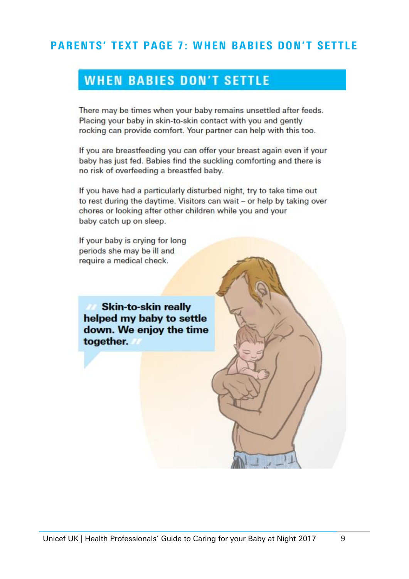# **PARENTS' TEXT PAGE 7: WHEN BABIES DON'T SETTLE**

# **WHEN BABIES DON'T SETTLE**

There may be times when your baby remains unsettled after feeds. Placing your baby in skin-to-skin contact with you and gently rocking can provide comfort. Your partner can help with this too.

If you are breastfeeding you can offer your breast again even if your baby has just fed. Babies find the suckling comforting and there is no risk of overfeeding a breastfed baby.

If you have had a particularly disturbed night, try to take time out to rest during the daytime. Visitors can wait - or help by taking over chores or looking after other children while you and your baby catch up on sleep.

If your baby is crying for long periods she may be ill and require a medical check.

**Skin-to-skin really** helped my baby to settle down. We enjoy the time together.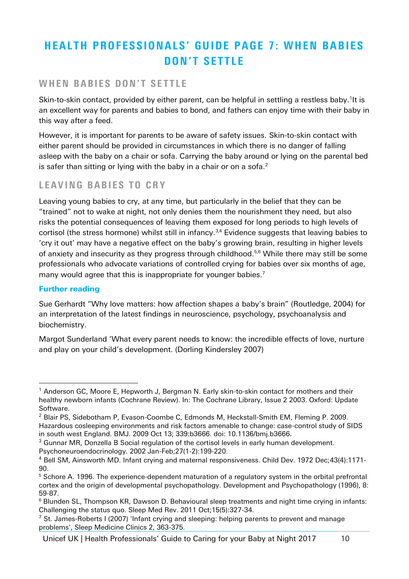# HEALTH PROFESSIONALS' GUIDE PAGE 7: WHEN BABIES DON'T SETTLE

#### WHEN BABIES DON'T SETTLE

Skin-to-skin contact, provided by either parent, can be helpful in settling a restless baby.<sup>1</sup>It is an excellent way for parents and babies to bond, and fathers can enjoy time with their baby in this way after a feed.

However, it is important for parents to be aware of safety issues. Skin-to-skin contact with either parent should be provided in circumstances in which there is no danger of falling asleep with the baby on a chair or sofa. Carrying the baby around or lying on the parental bed is safer than sitting or lying with the baby in a chair or on a sofa. $2$ 

#### LEAVING BABIES TO CRY

Leaving young babies to cry, at any time, but particularly in the belief that they can be "trained" not to wake at night, not only denies them the nourishment they need, but also risks the potential consequences of leaving them exposed for long periods to high levels of cortisol (the stress hormone) whilst still in infancy.<sup>3,4</sup> Evidence suggests that leaving babies to 'cry it out' may have a negative effect on the baby's growing brain, resulting in higher levels of anxiety and insecurity as they progress through childhood.<sup>5,6</sup> While there may still be some professionals who advocate variations of controlled crying for babies over six months of age, many would agree that this is inappropriate for younger babies.<sup>7</sup>

#### Further reading

Sue Gerhardt "Why love matters: how affection shapes a baby's brain" (Routledge, 2004) for an interpretation of the latest findings in neuroscience, psychology, psychoanalysis and biochemistry.

Margot Sunderland 'What every parent needs to know: the incredible effects of love, nurture and play on your child's development. (Dorling Kindersley 2007)

<sup>-</sup><sup>1</sup> Anderson GC, Moore E, Hepworth J, Bergman N. Early skin-to-skin contact for mothers and their healthy newborn infants (Cochrane Review). In: The Cochrane Library, Issue 2 2003. Oxford: Update Software.

<sup>&</sup>lt;sup>2</sup> Blair PS, Sidebotham P, Evason-Coombe C, Edmonds M, Heckstall-Smith EM, Fleming P. 2009. Hazardous cosleeping environments and risk factors amenable to change: case-control study of SIDS in south west England. BMJ. 2009 Oct 13; 339:b3666. doi: 10.1136/bmj.b3666.

 $3$  Gunnar MR, Donzella B Social regulation of the cortisol levels in early human development. Psychoneuroendocrinology. 2002 Jan-Feb;27(1-2):199-220.

<sup>4</sup> Bell SM, Ainsworth MD. Infant crying and maternal responsiveness. Child Dev. 1972 Dec;43(4):1171- 90.

<sup>&</sup>lt;sup>5</sup> Schore A. 1996. The experience-dependent maturation of a regulatory system in the orbital prefrontal cortex and the origin of developmental psychopathology. Development and Psychopathology (1996), 8: 59-87.

<sup>&</sup>lt;sup>6</sup> Blunden SL, Thompson KR, Dawson D. Behavioural sleep treatments and night time crying in infants: Challenging the status quo. Sleep Med Rev. 2011 Oct;15(5):327-34.

 $7$  St. James-Roberts I (2007) 'Infant crying and sleeping: helping parents to prevent and manage problems', Sleep Medicine Clinics 2, 363-375.

Unicef UK | Health Professionals' Guide to Caring for your Baby at Night 2017 10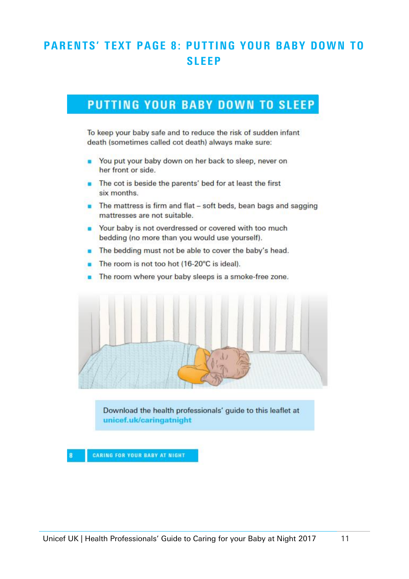# **PARENTS' TEXT PAGE 8: PUTTING YOUR BABY DOWN TO SLEEP**

# PUTTING YOUR BABY DOWN TO SLEEP

To keep your baby safe and to reduce the risk of sudden infant death (sometimes called cot death) always make sure:

- You put your baby down on her back to sleep, never on her front or side.
- **n** The cot is beside the parents' bed for at least the first six months.
- **n** The mattress is firm and flat soft beds, bean bags and sagging mattresses are not suitable.
- Your baby is not overdressed or covered with too much bedding (no more than you would use yourself).
- **n** The bedding must not be able to cover the baby's head.
- The room is not too hot (16-20°C is ideal).
- **n** The room where your baby sleeps is a smoke-free zone.



Download the health professionals' guide to this leaflet at unicef.uk/caringatnight

**CARING FOR YOUR BABY AT NIGHT**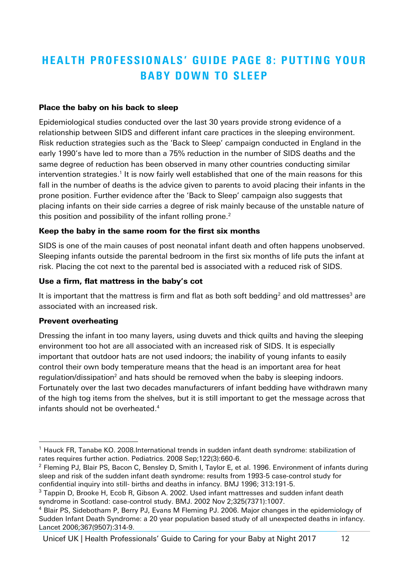# HEALTH PROFESSIONALS' GUIDE PAGE 8: PUTTING YOUR **BABY DOWN TO SLEEP**

#### Place the baby on his back to sleep

Epidemiological studies conducted over the last 30 years provide strong evidence of a relationship between SIDS and different infant care practices in the sleeping environment. Risk reduction strategies such as the 'Back to Sleep' campaign conducted in England in the early 1990's have led to more than a 75% reduction in the number of SIDS deaths and the same degree of reduction has been observed in many other countries conducting similar intervention strategies.<sup>1</sup> It is now fairly well established that one of the main reasons for this fall in the number of deaths is the advice given to parents to avoid placing their infants in the prone position. Further evidence after the 'Back to Sleep' campaign also suggests that placing infants on their side carries a degree of risk mainly because of the unstable nature of this position and possibility of the infant rolling prone. $^{\text{2}}$ 

#### <span id="page-11-0"></span>Keep the baby in the same room for the first six months

SIDS is one of the main causes of post neonatal infant death and often happens unobserved. Sleeping infants outside the parental bedroom in the first six months of life puts the infant at risk. Placing the cot next to the parental bed is associated with a reduced risk of SIDS.

#### Use a firm, flat mattress in the baby's cot

It is important that the mattress is firm and flat as both soft bedding<sup>[2](#page-11-0)</sup> and old mattresses<sup>3</sup> are associated with an increased risk.

#### Prevent overheating

-

Dressing the infant in too many layers, using duvets and thick quilts and having the sleeping environment too hot are all associated with an increased risk of SIDS. It is especially important that outdoor hats are not used indoors; the inability of young infants to easily control their own body temperature means that the head is an important area for heat regulatio[n](#page-11-0)/dissipation<sup>2</sup> and hats should be removed when the baby is sleeping indoors. Fortunately over the last two decades manufacturers of infant bedding have withdrawn many of the high tog items from the shelves, but it is still important to get the message across that infants should not be overheated. 4

Unicef UK | Health Professionals' Guide to Caring for your Baby at Night 2017 12

 $1$  Hauck FR, Tanabe KO. 2008. International trends in sudden infant death syndrome: stabilization of rates requires further action. Pediatrics. 2008 Sep;122(3):660-6.

<sup>&</sup>lt;sup>2</sup> Fleming PJ, Blair PS, Bacon C, Bensley D, Smith I, Taylor E, et al. 1996. Environment of infants during sleep and risk of the sudden infant death syndrome: results from 1993-5 case-control study for confidential inquiry into still- births and deaths in infancy. BMJ 1996; 313:191-5.

 $3$  Tappin D, Brooke H, Ecob R, Gibson A. 2002. Used infant mattresses and sudden infant death syndrome in Scotland: case-control study. BMJ. 2002 Nov 2;325(7371):1007.

<sup>4</sup> Blair PS, Sidebotham P, Berry PJ, Evans M Fleming PJ. 2006. Major changes in the epidemiology of Sudden Infant Death Syndrome: a 20 year population based study of all unexpected deaths in infancy. Lancet 2006;367(9507):314-9.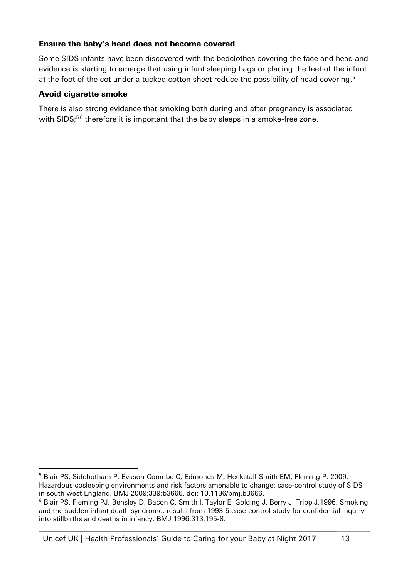#### Ensure the baby's head does not become covered

<span id="page-12-0"></span>Some SIDS infants have been discovered with the bedclothes covering the face and head and evidence is starting to emerge that using infant sleeping bags or placing the feet of the infant at the foot of the cot under a tucked cotton sheet reduce the possibility of head covering.<sup>5</sup>

#### Avoid cigarette smoke

-

There is also strong evidence that smoking both during and after pregnancy is associated with SIDS;<sup>[5,6](#page-12-0)</sup> therefore it is important that the baby sleeps in a smoke-free zone.

Unicef UK | Health Professionals' Guide to Caring for your Baby at Night 2017 13

<sup>5</sup> Blair PS, Sidebotham P, Evason-Coombe C, Edmonds M, Heckstall-Smith EM, Fleming P. 2009. Hazardous cosleeping environments and risk factors amenable to change: case-control study of SIDS in south west England. BMJ 2009;339:b3666. doi: 10.1136/bmj.b3666.

<sup>&</sup>lt;sup>6</sup> Blair PS, Fleming PJ, Bensley D, Bacon C, Smith I, Taylor E, Golding J, Berry J, Tripp J.1996. Smoking and the sudden infant death syndrome: results from 1993-5 case-control study for confidential inquiry into stillbirths and deaths in infancy. BMJ 1996;313:195-8.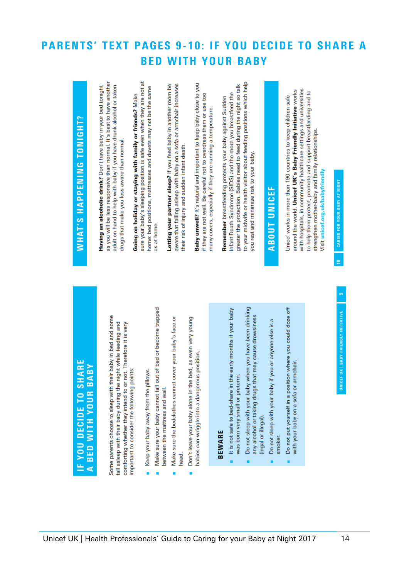#### **PARENTS' TEXT PAGES 9-10: IF YOU DECIDE TO SHARE A WITH YOUR BABY BED**

**Baby unwell?** It's natural and important to keep baby close to you

their risk of injury and sudden infant death.

if they are not well. Be careful not to overdress them or use too

many covers, especially if they are running a temperature.

# IF YOU DECIDE TO SHARE A BED WITH YOUR BABY

Some parents choose to sleep with their baby in bed and some fall asleep with their baby during the night while feeding and comforting whether they intend to or not. Therefore it is very important to consider the following points:

Keep your baby away from the pillows.

sure your baby's sleeping position is safe even when they are not at

Going on holiday or staying with family or friends? Make

home: bed positions, mattresses and duvets may not be the same

as at home.

Letting your partner sleep? If you feed baby in another room be aware that falling asleep with baby on a sofa or armchair increases

as you will be less responsive than normal. It's best to have another

adult on hand to help with baby if you have drunk alcohol or taken

drugs that make you less aware than normal.

Having an alcoholic drink? Don't have baby in your bed tonight

WHAT'S HAPPENING TONIGHT?

- Make sure your baby cannot fall out of bed or become trapped between the mattress and wall.
- Make sure the bedclothes cannot cover your baby's face or head.
- Don't leave your baby alone in the bed, as even very young babies can wriggle into a dangerous position.

# **BEWARE**

- It is not safe to bed-share in the early months if your baby was born very small or preterm.
- Do not sleep with your baby when you have been drinking any alcohol or taking drugs that may cause drowsiness (legal or illegal).
- Do not sleep with your baby if you or anyone else is a smoker.
- Do not put yourself in a position where you could doze off with your baby on a sofa or armchair.

**ABOUT UNICEF** 

you rest and minimise risk to your baby.

to your midwife or health visitor about feeding positions which help

greater the protection. Babies need to feed during the night so talk

Infant Death Syndrome (SIDS) and the more you breastfeed the

Remember breastfeeding protects your baby against Sudden

around the world. Unicef UK's Baby Friendly Initiative works with hospitals, in community healthcare settings and universities to help them protect, promote and support breastfeeding and to Unicef works in more than 190 countries to keep children safe strengthen mother-baby and family relationships. Visit unicef.org.uk/babyfriendly

# CARING FOR YOUR BABY AT NIGHT  $\overline{a}$

# UNICEF UK | BABY FRIENDLY INITIATIVE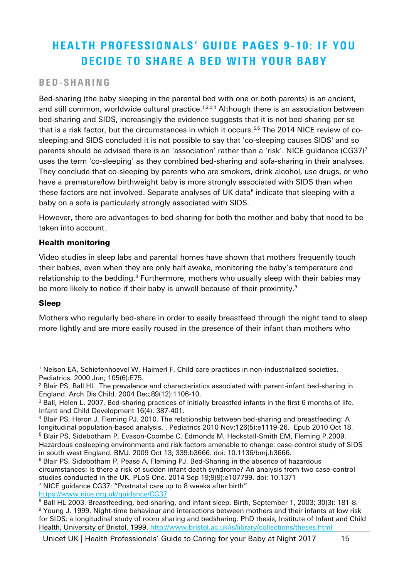# HEALTH PROFESSIONALS' GUIDE PAGES 9-10: IF YOU DECIDE TO SHARE A BED WITH YOUR BABY

#### BED- S H A R I N G

<span id="page-14-5"></span><span id="page-14-4"></span><span id="page-14-3"></span><span id="page-14-1"></span><span id="page-14-0"></span>Bed-sharing (the baby sleeping in the parental bed with one or both parents) is an ancient, and still common, worldwide cultural practice.<sup>1,2,3,4</sup> Although there is an association between bed-sharing and SIDS, increasingly the evidence suggests that it is not bed-sharing per se that is a risk factor, but the circumstances in which it occurs. 5,6 The 2014 NICE review of cosleeping and SIDS concluded it is not possible to say that 'co-sleeping causes SIDS' and so parents should be advised there is an 'association' rather than a 'risk'. NICE guidance (CG37)<sup>7</sup> uses the term 'co-sleeping' as they combined bed-sharing and sofa-sharing in their analyses. They conclude that co-sleeping by parents who are smokers, drink alcohol, use drugs, or who have a premature/low birthweight baby is more strongly associated with SIDS than when these factors are not involved. Separate analyses of UK data $^6$  $^6$  indicate that sleeping with a baby on a sofa is particularly strongly associated with SIDS.

However, there are advantages to bed-sharing for both the mother and baby that need to be taken into account.

#### Health monitoring

<span id="page-14-2"></span>Video studies in sleep labs and parental homes have shown that mothers frequently touch their babies, even when they are only half awake, monitoring the baby's temperature and relationship to the bedding.<sup>8</sup> Furthermore, mothers who usually sleep with their babies may be more likely to notice if their baby is unwell because of their proximity. 9

#### Sleep

Mothers who regularly bed-share in order to easily breastfeed through the night tend to sleep more lightly and are more easily roused in the presence of their infant than mothers who

<sup>-</sup><sup>1</sup> Nelson EA, Schiefenhoevel W, Haimerl F. Child care practices in non-industrialized societies. Pediatrics. 2000 Jun; 105(6):E75.

<sup>&</sup>lt;sup>2</sup> Blair PS, Ball HL. The prevalence and characteristics associated with parent-infant bed-sharing in England. Arch Dis Child. 2004 Dec;89(12):1106-10.

<sup>&</sup>lt;sup>3</sup> Ball, Helen L. 2007. Bed-sharing practices of initially breastfed infants in the first 6 months of life. Infant and Child Development 16(4): 387-401.

<sup>4</sup> Blair PS, Heron J, Fleming PJ. 2010. The relationship between bed-sharing and breastfeeding: A longitudinal population-based analysis. . Pediatrics 2010 Nov;126(5):e1119-26. Epub 2010 Oct 18.

<sup>5</sup> Blair PS, Sidebotham P, Evason-Coombe C, Edmonds M, Heckstall-Smith EM, Fleming P.2009. Hazardous cosleeping environments and risk factors amenable to change: case-control study of SIDS

in south west England. BMJ. 2009 Oct 13; 339:b3666. doi: 10.1136/bmj.b3666. <sup>6</sup> Blair PS, Sidebotham P, Pease A, Fleming PJ. Bed-Sharing in the absence of hazardous circumstances: Is there a risk of sudden infant death syndrome? An analysis from two case-control studies conducted in the UK. PLoS One. 2014 Sep 19;9(9):e107799. doi: 10.1371

<sup>7</sup> NICE guidance CG37: "Postnatal care up to 8 weeks after birth"

<https://www.nice.org.uk/guidance/CG37>

<sup>8</sup> Ball HL 2003. Breastfeeding, bed-sharing, and infant sleep. Birth, September 1, 2003; 30(3): 181-8.

<sup>&</sup>lt;sup>9</sup> Young J. 1999. Night-time behaviour and interactions between mothers and their infants at low risk for SIDS: a longitudinal study of room sharing and bedsharing. PhD thesis, Institute of Infant and Child Health, University of Bristol, 1999.<http://www.bristol.ac.uk/is/library/collections/theses.html>

Unicef UK | Health Professionals' Guide to Caring for your Baby at Night 2017 15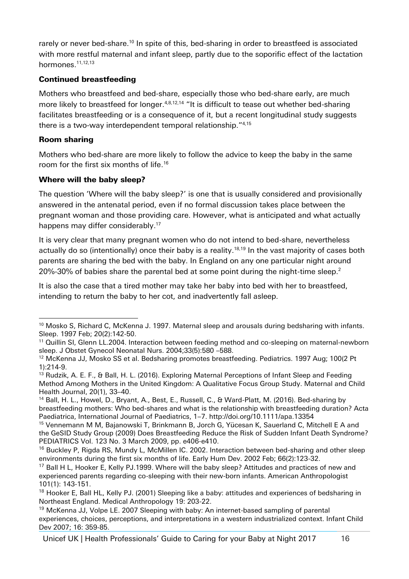rarely or never bed-share.<sup>10</sup> In spite of this, bed-sharing in order to breastfeed is associated with more restful maternal and infant sleep, partly due to the soporific effect of the lactation hormones.<sup>11,12,13</sup>

#### <span id="page-15-0"></span>Continued breastfeeding

Mothers who breastfeed and bed-share, especially those who bed-share early, are much more likely to breastfeed for longer.<sup>[4,](#page-14-1)[8,](#page-14-2)[12,1](#page-15-0)4</sup> "It is difficult to tease out whether bed-sharing facilitates breastfeeding or is a consequence of it, but a recent longitudinal study suggests there is a two-way interdependent temporal relationship." [4,1](#page-14-1)5

#### <span id="page-15-2"></span>Room sharing

Mothers who bed-share are more likely to follow the advice to keep the baby in the same room for the first six months of life. 16

#### Where will the baby sleep?

The question 'Where will the baby sleep?' is one that is usually considered and provisionally answered in the antenatal period, even if no formal discussion takes place between the pregnant woman and those providing care. However, what is anticipated and what actually happens may differ considerably. 17

<span id="page-15-1"></span>It is very clear that many pregnant women who do not intend to bed-share, nevertheless actually do so (intentionally) once their baby is a reality. 18,19 In the vast majority of cases both parents are sharing the bed with the baby. In England on any one particular night around 20%-30% of babies share the parental bed at some point during the night-time sleep[.](#page-14-3)<sup>2</sup>

It is also the case that a tired mother may take her baby into bed with her to breastfeed, intending to return the baby to her cot, and inadvertently fall asleep.

<sup>-</sup><sup>10</sup> Mosko S, Richard C, McKenna J. 1997. Maternal sleep and arousals during bedsharing with infants. Sleep. 1997 Feb; 20(2):142-50.

<sup>&</sup>lt;sup>11</sup> Quillin SI, Glenn LL.2004. Interaction between feeding method and co-sleeping on maternal-newborn sleep. J Obstet Gynecol Neonatal Nurs. 2004;33(5):580 –588.

<sup>&</sup>lt;sup>12</sup> McKenna JJ, Mosko SS et al. Bedsharing promotes breastfeeding. Pediatrics. 1997 Aug; 100(2 Pt 1):214-9.

<sup>&</sup>lt;sup>13</sup> Rudzik, A. E. F., & Ball, H. L. (2016). Exploring Maternal Perceptions of Infant Sleep and Feeding Method Among Mothers in the United Kingdom: A Qualitative Focus Group Study. Maternal and Child Health Journal, 20(1), 33–40.

<sup>&</sup>lt;sup>14</sup> Ball, H. L., Howel, D., Bryant, A., Best, E., Russell, C., & Ward-Platt, M. (2016). Bed-sharing by breastfeeding mothers: Who bed-shares and what is the relationship with breastfeeding duration? Acta Paediatrica, International Journal of Paediatrics, 1–7. http://doi.org/10.1111/apa.13354

<sup>&</sup>lt;sup>15</sup> Vennemann M M, Bajanowski T, Brinkmann B, Jorch G, Yücesan K, Sauerland C, Mitchell E A and the GeSID Study Group (2009) Does Breastfeeding Reduce the Risk of Sudden Infant Death Syndrome? PEDIATRICS Vol. 123 No. 3 March 2009, pp. e406-e410.

 $16$  Buckley P, Rigda RS, Mundy L, McMillen IC. 2002. Interaction between bed-sharing and other sleep environments during the first six months of life. Early Hum Dev. 2002 Feb; 66(2):123-32.

<sup>&</sup>lt;sup>17</sup> Ball H L, Hooker E, Kelly PJ.1999. Where will the baby sleep? Attitudes and practices of new and experienced parents regarding co-sleeping with their new-born infants. American Anthropologist 101(1): 143-151.

<sup>&</sup>lt;sup>18</sup> Hooker E, Ball HL, Kelly PJ. (2001) Sleeping like a baby: attitudes and experiences of bedsharing in Northeast England. Medical Anthropology 19: 203-22.

<sup>&</sup>lt;sup>19</sup> McKenna JJ, Volpe LE. 2007 Sleeping with baby: An internet-based sampling of parental experiences, choices, perceptions, and interpretations in a western industrialized context. Infant Child Dev 2007; 16: 359-85.

Unicef UK | Health Professionals' Guide to Caring for your Baby at Night 2017 16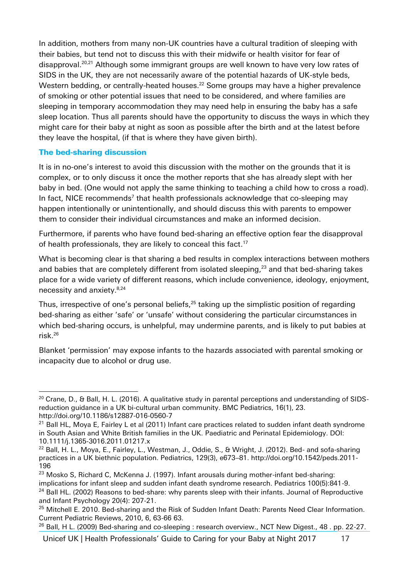In addition, mothers from many non-UK countries have a cultural tradition of sleeping with their babies, but tend not to discuss this with their midwife or health visitor for fear of disapproval.<sup>20,21</sup> Although some immigrant groups are well known to have very low rates of SIDS in the UK, they are not necessarily aware of the potential hazards of UK-style beds, Western bedding, or centrally-heated houses. <sup>22</sup> Some groups may have a higher prevalence of smoking or other potential issues that need to be considered, and where families are sleeping in temporary accommodation they may need help in ensuring the baby has a safe sleep location. Thus all parents should have the opportunity to discuss the ways in which they might care for their baby at night as soon as possible after the birth and at the latest before they leave the hospital, (if that is where they have given birth).

#### The bed-sharing discussion

It is in no-one's interest to avoid this discussion with the mother on the grounds that it is complex, or to only discuss it once the mother reports that she has already slept with her baby in bed. (One would not apply the same thinking to teaching a child how to cross a road). In fact, NICE recommend[s](#page-14-4)<sup>7</sup> that health professionals acknowledge that co-sleeping may happen intentionally or unintentionally, and should discuss this with parents to empower them to consider their individual circumstances and make an informed decision.

Furthermore, if parents who have found bed-sharing an effective option fear the disapproval of health professionals, they are likely to conceal this fact. [17](#page-15-1)

What is becoming clear is that sharing a bed results in complex interactions between mothers and babies that are completely different from isolated sleeping, <sup>23</sup> and that bed-sharing takes place for a wide variety of different reasons, which include convenience, ideology, enjoyment, necessity and anxiety. [8,2](#page-14-2)4

Thus, irrespective of one's personal beliefs,<sup>25</sup> taking up the simplistic position of regarding bed-sharing as either 'safe' or 'unsafe' without considering the particular circumstances in which bed-sharing occurs, is unhelpful, may undermine parents, and is likely to put babies at risk. 26

Blanket 'permission' may expose infants to the hazards associated with parental smoking or incapacity due to alcohol or drug use.

Unicef UK | Health Professionals' Guide to Caring for your Baby at Night 2017 17

<sup>-</sup><sup>20</sup> Crane, D., & Ball, H. L. (2016). A qualitative study in parental perceptions and understanding of SIDSreduction guidance in a UK bi-cultural urban community. BMC Pediatrics, 16(1), 23. http://doi.org/10.1186/s12887-016-0560-7

 $21$  Ball HL, Moya E, Fairley L et al (2011) Infant care practices related to sudden infant death syndrome in South Asian and White British families in the UK. Paediatric and Perinatal Epidemiology. DOI: 10.1111/j.1365-3016.2011.01217.x

<sup>&</sup>lt;sup>22</sup> Ball, H. L., Mova, E., Fairley, L., Westman, J., Oddie, S., & Wright, J. (2012). Bed- and sofa-sharing practices in a UK biethnic population. Pediatrics, 129(3), e673–81. http://doi.org/10.1542/peds.2011- 196

 $23$  Mosko S, Richard C, McKenna J. (1997). Infant arousals during mother-infant bed-sharing: implications for infant sleep and sudden infant death syndrome research. Pediatrics 100(5):841-9.

<sup>&</sup>lt;sup>24</sup> Ball HL. (2002) Reasons to bed-share: why parents sleep with their infants. Journal of Reproductive and Infant Psychology 20(4): 207-21.

<sup>&</sup>lt;sup>25</sup> Mitchell E. 2010. Bed-sharing and the Risk of Sudden Infant Death: Parents Need Clear Information. Current Pediatric Reviews, 2010, 6, 63-66 63.

 $26$  Ball, H L. (2009) Bed-sharing and co-sleeping : research overview., NCT New Digest., 48 . pp. 22-27.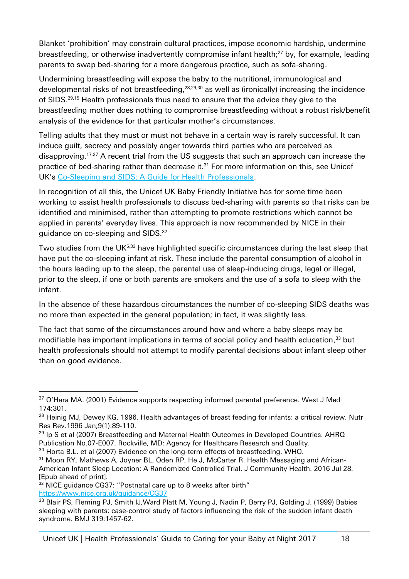<span id="page-17-1"></span>Blanket 'prohibition' may constrain cultural practices, impose economic hardship, undermine breastfeeding, or otherwise inadvertently compromise infant health; <sup>27</sup> by, for example, leading parents to swap bed-sharing for a more dangerous practice, such as sofa-sharing.

<span id="page-17-0"></span>Undermining breastfeeding will expose the baby to the nutritional, immunological and developmental risks of not breastfeeding,<sup>28,29,30</sup> as well as (ironically) increasing the incidence of SIDS. [29,](#page-17-0)[15](#page-15-2) Health professionals thus need to ensure that the advice they give to the breastfeeding mother does nothing to compromise breastfeeding without a robust risk/benefit analysis of the evidence for that particular mother's circumstances.

Telling adults that they must or must not behave in a certain way is rarely successful. It can induce guilt, secrecy and possibly anger towards third parties who are perceived as disapproving.<sup>[17,](#page-15-1)[27](#page-17-1)</sup> A recent trial from the US suggests that such an approach can increase the practice of bed-sharing rather than decrease it.<sup>31</sup> For more information on this, see Unicef UK's [Co-Sleeping and SIDS: A Guide for Health Professionals.](https://www.unicef.org.uk/babyfriendly/baby-friendly-resources/leaflets-and-posters/co-sleeping-and-sids/)

In recognition of all this, the Unicef UK Baby Friendly Initiative has for some time been working to assist health professionals to discuss bed-sharing with parents so that risks can be identified and minimised, rather than attempting to promote restrictions which cannot be applied in parents' everyday lives. This approach is now recommended by NICE in their guidance on co-sleeping and SIDS.<sup>32</sup>

<span id="page-17-2"></span>Two studies from the UK<sup>[5,3](#page-14-5)3</sup> have highlighted specific circumstances during the last sleep that have put the co-sleeping infant at risk. These include the parental consumption of alcohol in the hours leading up to the sleep, the parental use of sleep-inducing drugs, legal or illegal, prior to the sleep, if one or both parents are smokers and the use of a sofa to sleep with the infant.

In the absence of these hazardous circumstances the number of co-sleeping SIDS deaths was no more than expected in the general population; in fact, it was slightly less.

The fact that some of the circumstances around how and where a baby sleeps may be modifiable has important implications in terms of social policy and health education, [33](#page-17-2) but health professionals should not attempt to modify parental decisions about infant sleep other than on good evidence.

<sup>32</sup> NICE guidance CG37: "Postnatal care up to 8 weeks after birth" <https://www.nice.org.uk/guidance/CG37>

Unicef UK | Health Professionals' Guide to Caring for your Baby at Night 2017 18

<sup>-</sup> $27$  O'Hara MA. (2001) Evidence supports respecting informed parental preference. West J Med 174:301.

<sup>&</sup>lt;sup>28</sup> Heinig MJ, Dewey KG. 1996. Health advantages of breast feeding for infants: a critical review. Nutr Res Rev.1996 Jan;9(1):89-110.

 $^{29}$  Ip S et al (2007) Breastfeeding and Maternal Health Outcomes in Developed Countries. AHRQ Publication No.07-E007. Rockville, MD: Agency for Healthcare Research and Quality.

 $30$  Horta B.L. et al (2007) Evidence on the long-term effects of breastfeeding. WHO.

<sup>&</sup>lt;sup>31</sup> Moon RY, Mathews A, Joyner BL, Oden RP, He J, McCarter R. Health Messaging and African-American Infant Sleep Location: A Randomized Controlled Trial. J Community Health. 2016 Jul 28. [Epub ahead of print].

<sup>33</sup> Blair PS, Fleming PJ, Smith IJ, Ward Platt M, Young J, Nadin P, Berry PJ, Golding J. (1999) Babies sleeping with parents: case-control study of factors influencing the risk of the sudden infant death syndrome. BMJ 319:1457-62.